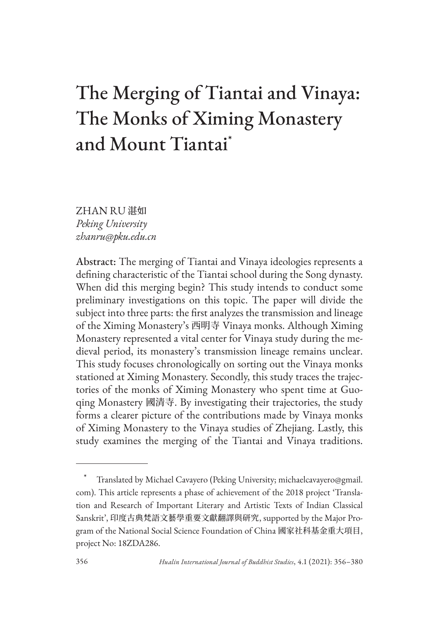# The Merging of Tiantai and Vinaya: The Monks of Ximing Monastery and Mount Tiantai\*

ZHAN RU 湛如 *Peking University zhanru@pku.edu.cn* 

Abstract: The merging of Tiantai and Vinaya ideologies represents a defining characteristic of the Tiantai school during the Song dynasty. When did this merging begin? This study intends to conduct some preliminary investigations on this topic. The paper will divide the subject into three parts: the first analyzes the transmission and lineage of the Ximing Monastery's 西明寺 Vinaya monks. Although Ximing Monastery represented a vital center for Vinaya study during the medieval period, its monastery's transmission lineage remains unclear. This study focuses chronologically on sorting out the Vinaya monks stationed at Ximing Monastery. Secondly, this study traces the trajectories of the monks of Ximing Monastery who spent time at Guoqing Monastery 國清寺. By investigating their trajectories, the study forms a clearer picture of the contributions made by Vinaya monks of Ximing Monastery to the Vinaya studies of Zhejiang. Lastly, this study examines the merging of the Tiantai and Vinaya traditions.

Translated by Michael Cavayero (Peking University; michaelcavayero@gmail. com). This article represents a phase of achievement of the 2018 project 'Translation and Research of Important Literary and Artistic Texts of Indian Classical Sanskrit', 印度古典梵語文藝學重要文獻翻譯與研究, supported by the Major Program of the National Social Science Foundation of China 國家社科基金重大項目, project No: 18ZDA286.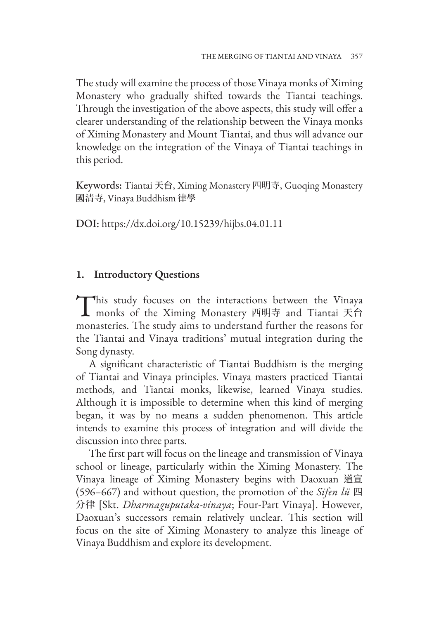The study will examine the process of those Vinaya monks of Ximing Monastery who gradually shifted towards the Tiantai teachings. Through the investigation of the above aspects, this study will offer a clearer understanding of the relationship between the Vinaya monks of Ximing Monastery and Mount Tiantai, and thus will advance our knowledge on the integration of the Vinaya of Tiantai teachings in this period.

Keywords: Tiantai 天台, Ximing Monastery 四明寺, Guoqing Monastery 國清寺, Vinaya Buddhism 律學

DOI: https://dx.doi.org/10.15239/hijbs.04.01.11

#### **1. Introductory Questions**

This study focuses on the interactions between the Vinaya<br>monks of the Ximing Monastery 西明寺 and Tiantai 天台 monasteries. The study aims to understand further the reasons for the Tiantai and Vinaya traditions' mutual integration during the Song dynasty.

A significant characteristic of Tiantai Buddhism is the merging of Tiantai and Vinaya principles. Vinaya masters practiced Tiantai methods, and Tiantai monks, likewise, learned Vinaya studies. Although it is impossible to determine when this kind of merging began, it was by no means a sudden phenomenon. This article intends to examine this process of integration and will divide the discussion into three parts.

The first part will focus on the lineage and transmission of Vinaya school or lineage, particularly within the Ximing Monastery. The Vinaya lineage of Ximing Monastery begins with Daoxuan 道宣 (596–667) and without question, the promotion of the *Sifen lü* 四 分律 [Skt. *Dharmaguputaka-vinaya*; Four-Part Vinaya]. However, Daoxuan's successors remain relatively unclear. This section will focus on the site of Ximing Monastery to analyze this lineage of Vinaya Buddhism and explore its development.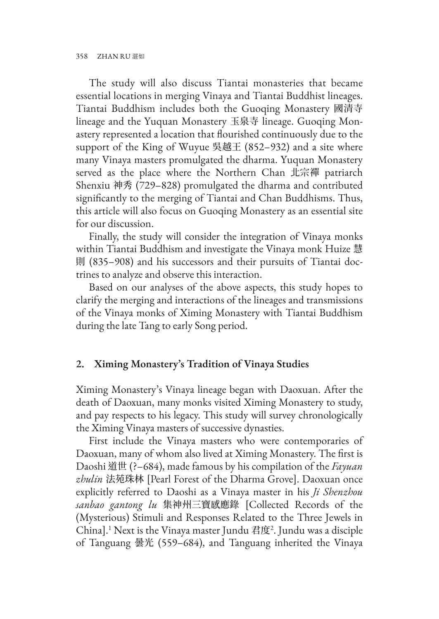The study will also discuss Tiantai monasteries that became essential locations in merging Vinaya and Tiantai Buddhist lineages. Tiantai Buddhism includes both the Guoqing Monastery 國清寺 lineage and the Yuquan Monastery 玉泉寺 lineage. Guoqing Monastery represented a location that flourished continuously due to the support of the King of Wuyue 吳越王 (852–932) and a site where many Vinaya masters promulgated the dharma. Yuquan Monastery served as the place where the Northern Chan 北宗禪 patriarch Shenxiu 神秀 (729–828) promulgated the dharma and contributed significantly to the merging of Tiantai and Chan Buddhisms. Thus, this article will also focus on Guoqing Monastery as an essential site for our discussion.

Finally, the study will consider the integration of Vinaya monks within Tiantai Buddhism and investigate the Vinaya monk Huize 慧 則 (835–908) and his successors and their pursuits of Tiantai doctrines to analyze and observe this interaction.

Based on our analyses of the above aspects, this study hopes to clarify the merging and interactions of the lineages and transmissions of the Vinaya monks of Ximing Monastery with Tiantai Buddhism during the late Tang to early Song period.

### **2. Ximing Monastery's Tradition of Vinaya Studies**

Ximing Monastery's Vinaya lineage began with Daoxuan. After the death of Daoxuan, many monks visited Ximing Monastery to study, and pay respects to his legacy. This study will survey chronologically the Ximing Vinaya masters of successive dynasties.

First include the Vinaya masters who were contemporaries of Daoxuan, many of whom also lived at Ximing Monastery. The first is Daoshi 道世 (?–684), made famous by his compilation of the *Fayuan zhulin* 法苑珠林 [Pearl Forest of the Dharma Grove]. Daoxuan once explicitly referred to Daoshi as a Vinaya master in his *Ji Shenzhou sanbao gantong lu* 集神州三寶感應錄 [Collected Records of the (Mysterious) Stimuli and Responses Related to the Three Jewels in China].1 Next is the Vinaya master Jundu 君度<sup>2</sup> . Jundu was a disciple of Tanguang 曇光 (559–684), and Tanguang inherited the Vinaya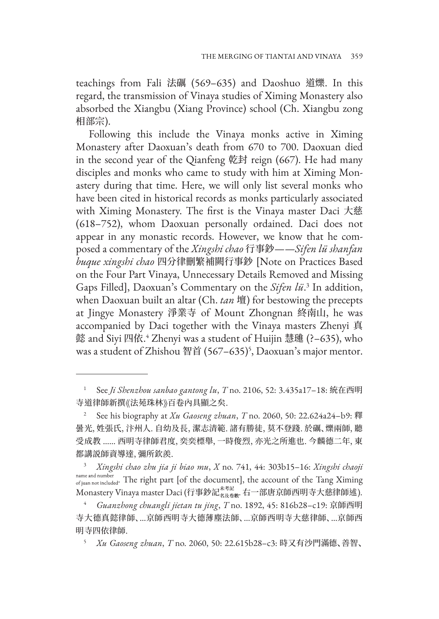teachings from Fali 法礪 (569–635) and Daoshuo 道爍. In this regard, the transmission of Vinaya studies of Ximing Monastery also absorbed the Xiangbu (Xiang Province) school (Ch. Xiangbu zong 相部宗).

Following this include the Vinaya monks active in Ximing Monastery after Daoxuan's death from 670 to 700. Daoxuan died in the second year of the Qianfeng 乾封 reign (667). He had many disciples and monks who came to study with him at Ximing Monastery during that time. Here, we will only list several monks who have been cited in historical records as monks particularly associated with Ximing Monastery. The first is the Vinaya master Daci 大慈 (618–752), whom Daoxuan personally ordained. Daci does not appear in any monastic records. However, we know that he composed a commentary of the *Xingshi chao* 行事鈔——*Sifen lü shanfan buque xingshi chao* 四分律刪繁補闕行事鈔 [Note on Practices Based on the Four Part Vinaya, Unnecessary Details Removed and Missing Gaps Filled], Daoxuan's Commentary on the *Sifen lü*. 3 In addition, when Daoxuan built an altar (Ch. *tan* 壇) for bestowing the precepts at Jingye Monastery 淨業寺 of Mount Zhongnan 終南山, he was accompanied by Daci together with the Vinaya masters Zhenyi 真 懿 and Siyi 四依. 4 Zhenyi was a student of Huijin 慧璡 (?–635), who was a student of Zhishou 智首 (567–635)<sup>5</sup>, Daoxuan's major mentor.

<sup>1</sup> See *Ji Shenzhou sanbao gantong lu*, *T* no. 2106, 52: 3.435a17–18: 統在西明 寺道律師新撰《法苑珠林》百卷內具顯之矣.

<sup>2</sup> See his biography at *Xu Gaoseng zhuan*, *T* no. 2060, 50: 22.624a24–b9: 釋 曇光, 姓張氏, 汴州人. 自幼及長, 潔志清範. 諸有勝徒, 莫不登踐. 於礪、爍兩師, 聽 受成教 …… 西明寺律師君度, 奕奕標舉, 一時俊烈, 亦光之所進也. 今麟德二年, 東 都講説師資導達, 彌所欽羨.

<sup>3</sup> *Xingshi chao zhu jia ji biao mu*, *X* no. 741, 44: 303b15–16: *Xingshi chaoji*  name and number<br>of juan not included. The right part [of the document], the account of the Tang Ximing Monastery Vinaya master Daci (行事鈔記 <sub>名及卷數</sub>. 右一部唐京師西明寺大慈律師述).

<sup>4</sup> *Guanzhong chuangli jietan tu jing*, *T* no. 1892, 45: 816b28–c19: 京師西明 寺大德真懿律師、…京師西明寺大德薄塵法師、…京師西明寺大慈律師、…京師西 明寺四依律師.

<sup>5</sup> *Xu Gaoseng zhuan*, *T* no. 2060, 50: 22.615b28–c3: 時又有沙門滿德、善智、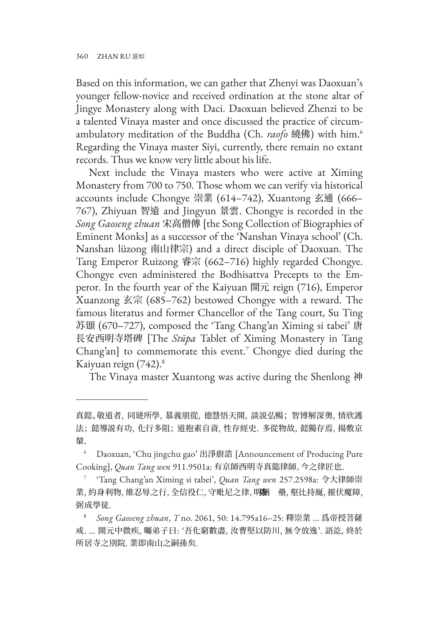Based on this information, we can gather that Zhenyi was Daoxuan's younger fellow-novice and received ordination at the stone altar of Jingye Monastery along with Daci. Daoxuan believed Zhenzi to be a talented Vinaya master and once discussed the practice of circumambulatory meditation of the Buddha (Ch. *raofo* 繞佛) with him.6 Regarding the Vinaya master Siyi, currently, there remain no extant records. Thus we know very little about his life.

Next include the Vinaya masters who were active at Ximing Monastery from 700 to 750. Those whom we can verify via historical accounts include Chongye 崇業 (614–742), Xuantong 玄通 (666– 767), Zhiyuan 智遠 and Jingyun 景雲. Chongye is recorded in the *Song Gaoseng zhuan* 宋高僧傳 [the Song Collection of Biographies of Eminent Monks] as a successor of the 'Nanshan Vinaya school' (Ch. Nanshan lüzong 南山律宗) and a direct disciple of Daoxuan. The Tang Emperor Ruizong 睿宗 (662–716) highly regarded Chongye. Chongye even administered the Bodhisattva Precepts to the Emperor. In the fourth year of the Kaiyuan 開元 reign (716), Emperor Xuanzong 玄宗 (685–762) bestowed Chongye with a reward. The famous literatus and former Chancellor of the Tang court, Su Ting 苏頲 (670–727), composed the 'Tang Chang'an Ximing si tabei' 唐 長安西明寺塔碑 [The *Stūpa* Tablet of Ximing Monastery in Tang Chang'an] to commemorate this event.<sup>7</sup> Chongye died during the Kaiyuan reign (742).8

The Vinaya master Xuantong was active during the Shenlong 神

真懿、敬道者, 同琎所學, 慕義朋從, 德慧悟天開, 談説弘暢; 智博解深奧, 情欣護 法; 懿導説有功, 化行多阻; 道抱素自資, 性存經史. 多從物故, 懿獨存焉, 揚敷京 輦.

<sup>6</sup> Daoxuan, 'Chu jingchu gao' 出淨廚誥 [Announcement of Producing Pure Cooking], *Quan Tang wen* 911.9501a: 有京師西明寺真㦤律師, 今之律匠也.

<sup>7</sup> 'Tang Chang'an Ximing si tabei', *Quan Tang wen* 257.2598a: 令大律師崇 業, 約身利物, 維忍辱之行, 全信役仁, 守毗尼之律, 明猶 壘, 壑比持綖, 摧伏魔障, 弼成學徒.

<sup>8</sup> *Song Gaoseng zhuan*, *T* no. 2061, 50: 14.795a16–25: 釋崇業 … 爲帝授菩薩 戒. … 開元中微疾, 囑弟子曰: '吾化窮數盡, 汝曹堅以防川, 無令放逸'. 語訖, 終於 所居寺之別院. 業即南山之嗣孫矣.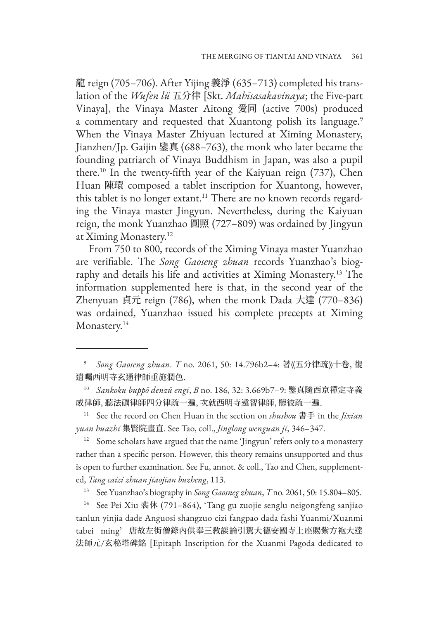龍 reign (705–706). After Yijing 義淨 (635–713) completed his translation of the *Wufen lü* 五分律 [Skt. *Mahīsasakavinaya*; the Five-part Vinaya], the Vinaya Master Aitong 愛同 (active 700s) produced a commentary and requested that Xuantong polish its language.<sup>9</sup> When the Vinaya Master Zhiyuan lectured at Ximing Monastery, Jianzhen/Jp. Gaijin 鑒真 (688–763), the monk who later became the founding patriarch of Vinaya Buddhism in Japan, was also a pupil there.10 In the twenty-fifth year of the Kaiyuan reign (737), Chen Huan 陳環 composed a tablet inscription for Xuantong, however, this tablet is no longer extant.<sup>11</sup> There are no known records regarding the Vinaya master Jingyun. Nevertheless, during the Kaiyuan reign, the monk Yuanzhao 圓照 (727–809) was ordained by Jingyun at Ximing Monastery.<sup>12</sup>

From 750 to 800, records of the Ximing Vinaya master Yuanzhao are verifiable. The *Song Gaoseng zhuan* records Yuanzhao's biography and details his life and activities at Ximing Monastery.13 The information supplemented here is that, in the second year of the Zhenyuan 貞元 reign (786), when the monk Dada 大達 (770–836) was ordained, Yuanzhao issued his complete precepts at Ximing Monastery.<sup>14</sup>

<sup>14</sup> See Pei Xiu 裴休 (791-864), 'Tang gu zuojie senglu neigongfeng sanjiao tanlun yinjia dade Anguosi shangzuo cizi fangpao dada fashi Yuanmi/Xuanmi tabei ming' 唐故左街僧錄內供奉三敎談論引駕大德安國寺上座賜紫方袍大達 法師元/玄秘塔碑銘 [Epitaph Inscription for the Xuanmi Pagoda dedicated to

<sup>9</sup> *Song Gaoseng zhuan*. *T* no. 2061, 50: 14.796b2–4: 著《五分律疏》十卷, 復 遺囑西明寺玄通律師重施潤色.

<sup>10</sup> *Sankoku buppō denzū engi*, *B* no. 186, 32: 3.669b7–9: 鑒真隨西京禪定寺義 威律師, 聽法礪律師四分律疏一遍, 次就西明寺遠智律師, 聽彼疏一遍.

<sup>11</sup> See the record on Chen Huan in the section on *shushou* 書手 in the *Jixian yuan huazhi* 集賢院畫直. See Tao, coll., *Jinglong wenguan ji*, 346–347.

<sup>&</sup>lt;sup>12</sup> Some scholars have argued that the name 'Jingyun' refers only to a monastery rather than a specific person. However, this theory remains unsupported and thus is open to further examination. See Fu, annot. & coll., Tao and Chen, supplemented, *Tang caizi zhuan jiaojian buzheng*, 113.

<sup>13</sup> See Yuanzhao's biography in *Song Gaosneg zhuan*, *T* no. 2061, 50: 15.804–805.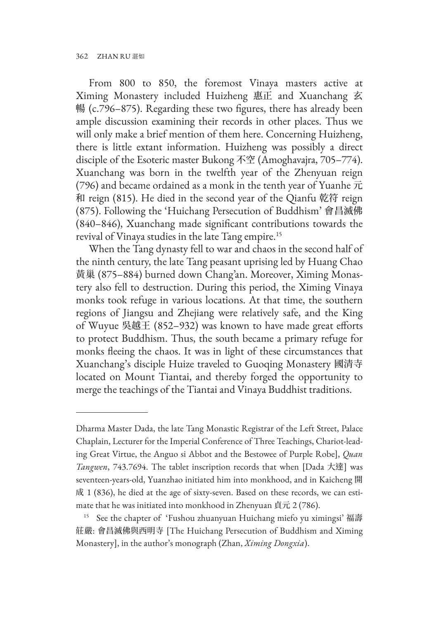From 800 to 850, the foremost Vinaya masters active at Ximing Monastery included Huizheng 惠正 and Xuanchang 玄 暢 (c.796–875). Regarding these two figures, there has already been ample discussion examining their records in other places. Thus we will only make a brief mention of them here. Concerning Huizheng, there is little extant information. Huizheng was possibly a direct disciple of the Esoteric master Bukong 不空 (Amoghavajra, 705–774). Xuanchang was born in the twelfth year of the Zhenyuan reign (796) and became ordained as a monk in the tenth year of Yuanhe  $\overrightarrow{\pi}$ 和 reign (815). He died in the second year of the Qianfu 乾符 reign (875). Following the 'Huichang Persecution of Buddhism' 會昌滅佛 (840–846), Xuanchang made significant contributions towards the revival of Vinaya studies in the late Tang empire.15

When the Tang dynasty fell to war and chaos in the second half of the ninth century, the late Tang peasant uprising led by Huang Chao 黃巢 (875–884) burned down Chang'an. Moreover, Ximing Monastery also fell to destruction. During this period, the Ximing Vinaya monks took refuge in various locations. At that time, the southern regions of Jiangsu and Zhejiang were relatively safe, and the King of Wuyue 吳越王 (852–932) was known to have made great efforts to protect Buddhism. Thus, the south became a primary refuge for monks fleeing the chaos. It was in light of these circumstances that Xuanchang's disciple Huize traveled to Guoqing Monastery 國清寺 located on Mount Tiantai, and thereby forged the opportunity to merge the teachings of the Tiantai and Vinaya Buddhist traditions.

Dharma Master Dada, the late Tang Monastic Registrar of the Left Street, Palace Chaplain, Lecturer for the Imperial Conference of Three Teachings, Chariot-leading Great Virtue, the Anguo si Abbot and the Bestowee of Purple Robe], *Quan Tangwen*, 743.7694. The tablet inscription records that when [Dada 大達] was seventeen-years-old, Yuanzhao initiated him into monkhood, and in Kaicheng 開 成 1 (836), he died at the age of sixty-seven. Based on these records, we can estimate that he was initiated into monkhood in Zhenyuan 貞元 2 (786).

<sup>&</sup>lt;sup>15</sup> See the chapter of 'Fushou zhuanyuan Huichang miefo yu ximingsi' 福壽 莊嚴: 會昌滅佛與西明寺 [The Huichang Persecution of Buddhism and Ximing Monastery], in the author's monograph (Zhan, *Ximing Dongxia*).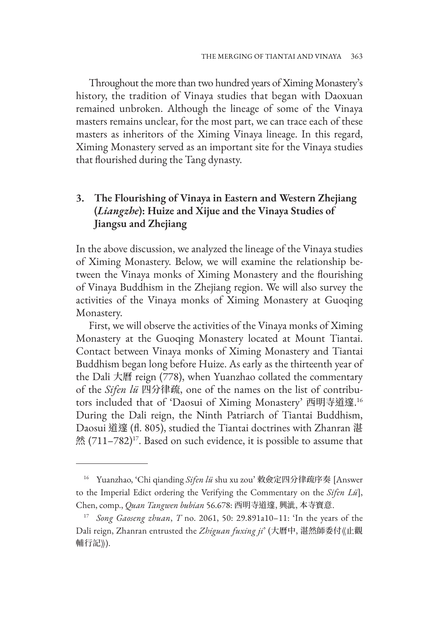Throughout the more than two hundred years of Ximing Monastery's history, the tradition of Vinaya studies that began with Daoxuan remained unbroken. Although the lineage of some of the Vinaya masters remains unclear, for the most part, we can trace each of these masters as inheritors of the Ximing Vinaya lineage. In this regard, Ximing Monastery served as an important site for the Vinaya studies that flourished during the Tang dynasty.

## **3. The Flourishing of Vinaya in Eastern and Western Zhejiang (***Liangzhe***): Huize and Xijue and the Vinaya Studies of Jiangsu and Zhejiang**

In the above discussion, we analyzed the lineage of the Vinaya studies of Ximing Monastery. Below, we will examine the relationship between the Vinaya monks of Ximing Monastery and the flourishing of Vinaya Buddhism in the Zhejiang region. We will also survey the activities of the Vinaya monks of Ximing Monastery at Guoqing Monastery.

First, we will observe the activities of the Vinaya monks of Ximing Monastery at the Guoqing Monastery located at Mount Tiantai. Contact between Vinaya monks of Ximing Monastery and Tiantai Buddhism began long before Huize. As early as the thirteenth year of the Dali 大曆 reign (778), when Yuanzhao collated the commentary of the *Sifen lü* 四分律疏, one of the names on the list of contributors included that of 'Daosui of Ximing Monastery' 西明寺道邃. 16 During the Dali reign, the Ninth Patriarch of Tiantai Buddhism, Daosui 道邃 (fl. 805), studied the Tiantai doctrines with Zhanran 湛 然 (711–782)17. Based on such evidence, it is possible to assume that

<sup>&</sup>lt;sup>16</sup> Yuanzhao, 'Chi qianding *Sifen lü* shu xu zou' 敕僉定四分律疏序奏 [Answer to the Imperial Edict ordering the Verifying the Commentary on the *Sifen Lü*], Chen, comp., *Quan Tangwen bubian* 56.678: 西明寺道邃, 興泚, 本寺寶意.

<sup>17</sup> *Song Gaoseng zhuan*, *T* no. 2061, 50: 29.891a10–11: 'In the years of the Dali reign, Zhanran entrusted the *Zhiguan fuxing ji*' (大曆中, 湛然師委付《止觀 輔行記》).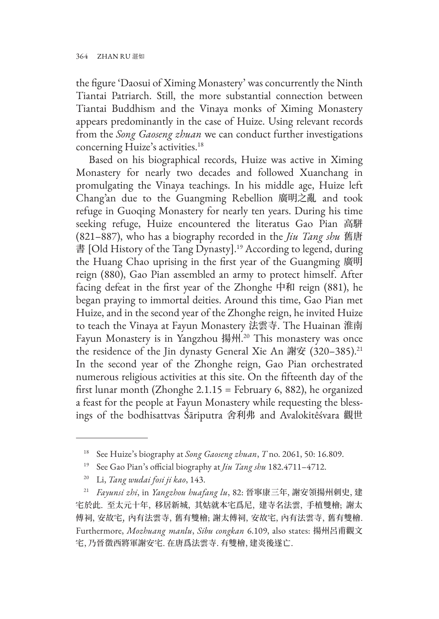the figure 'Daosui of Ximing Monastery' was concurrently the Ninth Tiantai Patriarch. Still, the more substantial connection between Tiantai Buddhism and the Vinaya monks of Ximing Monastery appears predominantly in the case of Huize. Using relevant records from the *Song Gaoseng zhuan* we can conduct further investigations concerning Huize's activities.<sup>18</sup>

Based on his biographical records, Huize was active in Ximing Monastery for nearly two decades and followed Xuanchang in promulgating the Vinaya teachings. In his middle age, Huize left Chang'an due to the Guangming Rebellion 廣明之亂 and took refuge in Guoqing Monastery for nearly ten years. During his time seeking refuge, Huize encountered the literatus Gao Pian 高駢 (821–887), who has a biography recorded in the *Jiu Tang shu* 舊唐 書 [Old History of the Tang Dynasty].<sup>19</sup> According to legend, during the Huang Chao uprising in the first year of the Guangming 廣明 reign (880), Gao Pian assembled an army to protect himself. After facing defeat in the first year of the Zhonghe 中和 reign (881), he began praying to immortal deities. Around this time, Gao Pian met Huize, and in the second year of the Zhonghe reign, he invited Huize to teach the Vinaya at Fayun Monastery 法雲寺. The Huainan 淮南 Fayun Monastery is in Yangzhou 揚州. 20 This monastery was once the residence of the Jin dynasty General Xie An 謝安 (320-385).<sup>21</sup> In the second year of the Zhonghe reign, Gao Pian orchestrated numerous religious activities at this site. On the fifteenth day of the first lunar month (Zhonghe  $2.1.15$  = February 6, 882), he organized a feast for the people at Fayun Monastery while requesting the blessings of the bodhisattvas Śāriputra 舍利弗 and Avalokitêśvara 觀世

<sup>18</sup> See Huize's biography at *Song Gaoseng zhuan*, *T* no. 2061, 50: 16.809.

<sup>19</sup> See Gao Pian's official biography at *Jiu Tang shu* 182.4711–4712.

<sup>20</sup> Li, *Tang wudai fosi ji kao*, 143.

<sup>21</sup> *Fayunsi zhi*, in *Yangzhou huafang lu*, 82: 晉寧康三年, 謝安領揚州刺史, 建 宅於此. 至太元十年, 移居新城, 其姑就本宅爲尼, 建寺名法雲, 手植雙檜; 謝太 傅祠, 安故宅, 內有法雲寺, 舊有雙檜; 謝太傅祠, 安故宅, 內有法雲寺, 舊有雙檜. Furthermore, *Mozhuang manlu*, *Sibu congkan* 6.109, also states: 揚州呂甫觀文 宅, 乃晉徵西將軍謝安宅. 在唐爲法雲寺. 有雙檜, 建炎後遂亡.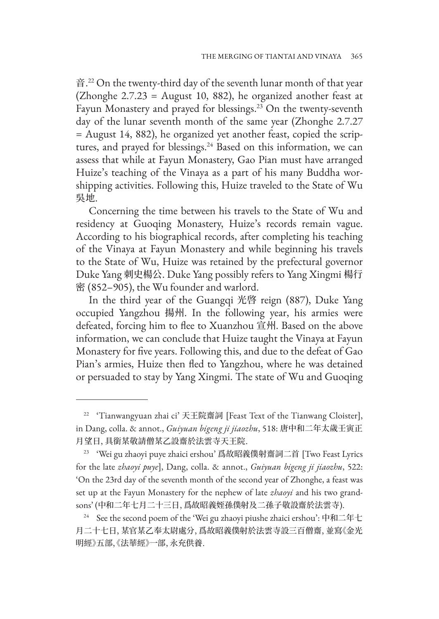音. 22 On the twenty-third day of the seventh lunar month of that year (Zhonghe 2.7.23 = August 10, 882), he organized another feast at Fayun Monastery and prayed for blessings.<sup>23</sup> On the twenty-seventh day of the lunar seventh month of the same year (Zhonghe 2.7.27 = August 14, 882), he organized yet another feast, copied the scriptures, and prayed for blessings.<sup>24</sup> Based on this information, we can assess that while at Fayun Monastery, Gao Pian must have arranged Huize's teaching of the Vinaya as a part of his many Buddha worshipping activities. Following this, Huize traveled to the State of Wu 吳地.

Concerning the time between his travels to the State of Wu and residency at Guoqing Monastery, Huize's records remain vague. According to his biographical records, after completing his teaching of the Vinaya at Fayun Monastery and while beginning his travels to the State of Wu, Huize was retained by the prefectural governor Duke Yang 刺史楊公. Duke Yang possibly refers to Yang Xingmi 楊行 密 (852–905), the Wu founder and warlord.

In the third year of the Guangqi 光啓 reign (887), Duke Yang occupied Yangzhou 揚州. In the following year, his armies were defeated, forcing him to flee to Xuanzhou 宣州. Based on the above information, we can conclude that Huize taught the Vinaya at Fayun Monastery for five years. Following this, and due to the defeat of Gao Pian's armies, Huize then fled to Yangzhou, where he was detained or persuaded to stay by Yang Xingmi. The state of Wu and Guoqing

<sup>&</sup>lt;sup>22</sup> 'Tianwangyuan zhai ci' 天王院齋詞 [Feast Text of the Tianwang Cloister], in Dang, colla. & annot., *Guiyuan bigeng ji jiaozhu*, 518: 唐中和二年太歲壬寅正 月望日, 具銜某敬請僧某乙設齋於法雲寺天王院.

 $23$  'Wei gu zhaoyi puye zhaici ershou' 爲故昭義僕射齋詞二首 [Two Feast Lyrics] for the late *zhaoyi puye*], Dang, colla. & annot., *Guiyuan bigeng ji jiaozhu*, 522: 'On the 23rd day of the seventh month of the second year of Zhonghe, a feast was set up at the Fayun Monastery for the nephew of late *zhaoyi* and his two grandsons' (中和二年七月二十三日, 爲故昭義姪孫僕射及二孫子敬設齋於法雲寺).

<sup>&</sup>lt;sup>24</sup> See the second poem of the 'Wei gu zhaoyi piushe zhaici ershou': 中和二年七 月二十七日, 某官某乙奉太尉處分, 爲故昭義僕射於法雲寺設三百僧齋, 並寫《金光 明經》五部、《法華經》一部, 永充供養.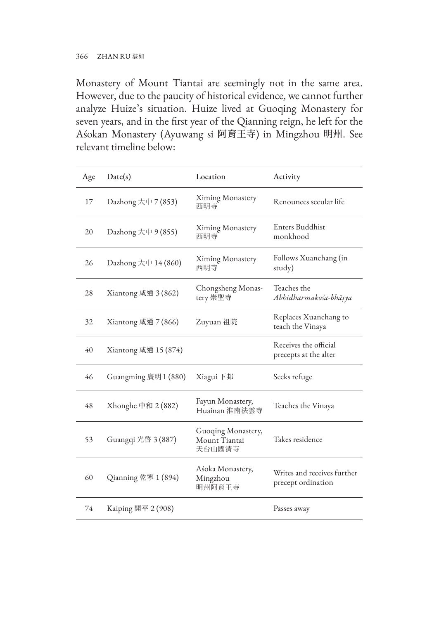Monastery of Mount Tiantai are seemingly not in the same area. However, due to the paucity of historical evidence, we cannot further analyze Huize's situation. Huize lived at Guoqing Monastery for seven years, and in the first year of the Qianning reign, he left for the Aśokan Monastery (Ayuwang si 阿育王寺) in Mingzhou 明州. See relevant timeline below:

| Age | Date(s)                   | Location                                      | Activity                                          |
|-----|---------------------------|-----------------------------------------------|---------------------------------------------------|
| 17  | Dazhong $\pm \pi$ 7 (853) | Ximing Monastery<br>西明寺                       | Renounces secular life                            |
| 20  | Dazhong 大中 9 (855)        | Ximing Monastery<br>西明寺                       | Enters Buddhist<br>monkhood                       |
| 26  | Dazhong 大中 14 (860)       | Ximing Monastery<br>西明寺                       | Follows Xuanchang (in<br>study)                   |
| 28  | Xiantong 咸通 3 (862)       | Chongsheng Monas-<br>tery 崇聖寺                 | Teaches the<br>Abhidharmakośa-bhāṣya              |
| 32  | Xiantong 咸通 7 (866)       | Zuyuan 祖院                                     | Replaces Xuanchang to<br>teach the Vinaya         |
| 40  | Xiantong 咸通 15 (874)      |                                               | Receives the official<br>precepts at the alter    |
| 46  | Guangming 廣明 $1(880)$     | Xiagui 下邽                                     | Seeks refuge                                      |
| 48  | Xhonghe 中和 2 (882)        | Fayun Monastery,<br>Huainan 淮南法雲寺             | Teaches the Vinaya                                |
| 53  | Guangqi 光啓 3 (887)        | Guoqing Monastery,<br>Mount Tiantai<br>天台山國清寺 | Takes residence                                   |
| 60  | Qianning 乾寧 1 (894)       | Aśoka Monastery,<br>Mingzhou<br>明州阿育王寺        | Writes and receives further<br>precept ordination |
| 74  | Kaiping 開平 2 (908)        |                                               | Passes away                                       |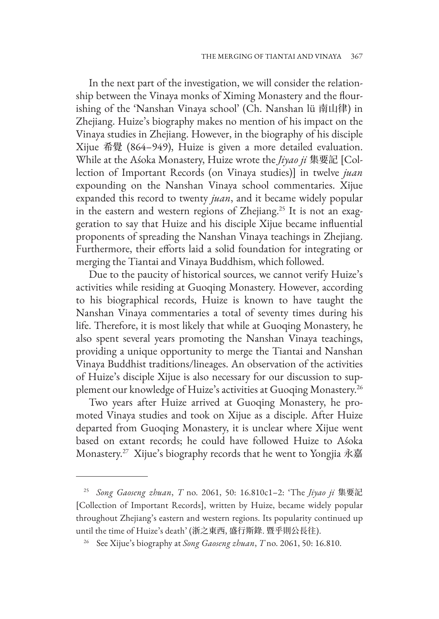In the next part of the investigation, we will consider the relationship between the Vinaya monks of Ximing Monastery and the flourishing of the 'Nanshan Vinaya school' (Ch. Nanshan lü 南山律) in Zhejiang. Huize's biography makes no mention of his impact on the Vinaya studies in Zhejiang. However, in the biography of his disciple Xijue 希覺 (864–949), Huize is given a more detailed evaluation. While at the Aśoka Monastery, Huize wrote the *Jiyao ji* 集要記 [Collection of Important Records (on Vinaya studies)] in twelve *juan* expounding on the Nanshan Vinaya school commentaries. Xijue expanded this record to twenty *juan*, and it became widely popular in the eastern and western regions of Zhejiang.<sup>25</sup> It is not an exaggeration to say that Huize and his disciple Xijue became influential proponents of spreading the Nanshan Vinaya teachings in Zhejiang. Furthermore, their efforts laid a solid foundation for integrating or merging the Tiantai and Vinaya Buddhism, which followed.

Due to the paucity of historical sources, we cannot verify Huize's activities while residing at Guoqing Monastery. However, according to his biographical records, Huize is known to have taught the Nanshan Vinaya commentaries a total of seventy times during his life. Therefore, it is most likely that while at Guoqing Monastery, he also spent several years promoting the Nanshan Vinaya teachings, providing a unique opportunity to merge the Tiantai and Nanshan Vinaya Buddhist traditions/lineages. An observation of the activities of Huize's disciple Xijue is also necessary for our discussion to supplement our knowledge of Huize's activities at Guoqing Monastery.<sup>26</sup>

Two years after Huize arrived at Guoqing Monastery, he promoted Vinaya studies and took on Xijue as a disciple. After Huize departed from Guoqing Monastery, it is unclear where Xijue went based on extant records; he could have followed Huize to Aśoka Monastery.27 Xijue's biography records that he went to Yongjia 永嘉

<sup>25</sup> *Song Gaoseng zhuan*, *T* no. 2061, 50: 16.810c1–2: 'The *Jiyao ji* 集要記 [Collection of Important Records], written by Huize, became widely popular throughout Zhejiang's eastern and western regions. Its popularity continued up until the time of Huize's death' (浙之東西, 盛行斯錄. 暨乎則公長往).

<sup>26</sup> See Xijue's biography at *Song Gaoseng zhuan*, *T* no. 2061, 50: 16.810.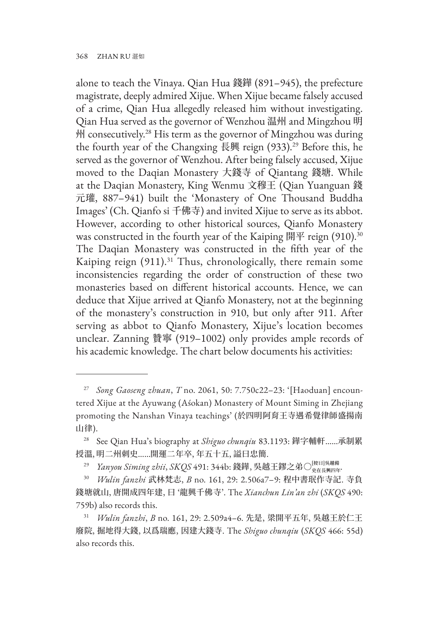alone to teach the Vinaya. Qian Hua 錢鏵 (891–945), the prefecture magistrate, deeply admired Xijue. When Xijue became falsely accused of a crime, Qian Hua allegedly released him without investigating. Qian Hua served as the governor of Wenzhou 温州 and Mingzhou 明 州 consecutively.28 His term as the governor of Mingzhou was during the fourth year of the Changxing 長興 reign  $(933)$ .<sup>29</sup> Before this, he served as the governor of Wenzhou. After being falsely accused, Xijue moved to the Daqian Monastery 大錢寺 of Qiantang 錢塘. While at the Daqian Monastery, King Wenmu 文穆王 (Qian Yuanguan 錢 元瓘, 887–941) built the 'Monastery of One Thousand Buddha Images' (Ch. Qianfo si 千佛寺) and invited Xijue to serve as its abbot. However, according to other historical sources, Qianfo Monastery was constructed in the fourth year of the Kaiping 開平 reign  $(910)^{30}$ The Daqian Monastery was constructed in the fifth year of the Kaiping reign (911).<sup>31</sup> Thus, chronologically, there remain some inconsistencies regarding the order of construction of these two monasteries based on different historical accounts. Hence, we can deduce that Xijue arrived at Qianfo Monastery, not at the beginning of the monastery's construction in 910, but only after 911. After serving as abbot to Qianfo Monastery, Xijue's location becomes unclear. Zanning 贊寧 (919–1002) only provides ample records of his academic knowledge. The chart below documents his activities:

<sup>27</sup> *Song Gaoseng zhuan*, *T* no. 2061, 50: 7.750c22–23: '[Haoduan] encountered Xijue at the Ayuwang (Aśokan) Monastery of Mount Siming in Zhejiang promoting the Nanshan Vinaya teachings' (於四明阿育王寺遇希覺律師盛揚南 山律).

<sup>28</sup> See Qian Hua's biography at *Shiguo chunqiu* 83.1193: 鏵字輔軒……承制累 授溫, 明二州刺史……開運二年卒, 年五十五, 謚曰忠簡.

<sup>&</sup>lt;sup>29</sup> *Yanyou Siming zhii*, *SKQS* 491: 344b: 錢鏵, 吳越王鏐之弟〇 $\frac{1}{2}$ 

<sup>30</sup> *Wulin fanzhi* 武林梵志, *B* no. 161, 29: 2.506a7–9: 程中書珉作寺記. 寺負 錢塘就山, 唐開成四年建, 曰 '龍興千佛寺'. The *Xianchun Lin'an zhi* (*SKQS* 490: 759b) also records this.

<sup>31</sup> *Wulin fanzhi*, *B* no. 161, 29: 2.509a4–6. 先是, 梁開平五年, 吳越王於仁王 廢院, 掘地得大錢, 以爲瑞應, 因建大錢寺. The *Shiguo chunqiu* (*SKQS* 466: 55d) also records this.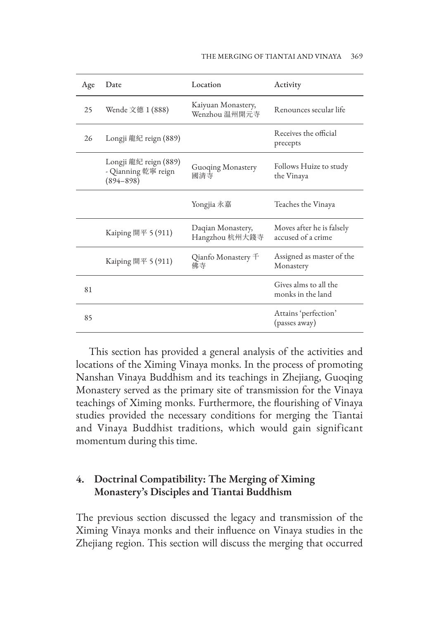| Age | Date                                                          | Location                            | Activity                                        |
|-----|---------------------------------------------------------------|-------------------------------------|-------------------------------------------------|
| 25  | Wende 文德 1 (888)                                              | Kaiyuan Monastery,<br>Wenzhou 温州開元寺 | Renounces secular life                          |
| 26  | Longji 龍紀 reign (889)                                         |                                     | Receives the official<br>precepts               |
|     | Longji 龍紀 reign (889)<br>- Qianning 乾寧 reign<br>$(894 - 898)$ | Guoqing Monastery<br>國清寺            | Follows Huize to study<br>the Vinaya            |
|     |                                                               | Yongjia 永嘉                          | Teaches the Vinaya                              |
|     | Kaiping 開平 5 $(911)$                                          | Daqian Monastery,<br>Hangzhou 杭州大錢寺 | Moves after he is falsely<br>accused of a crime |
|     | Kaiping 開平 5 $(911)$                                          | Qianfo Monastery <sup>F</sup><br>佛寺 | Assigned as master of the<br>Monastery          |
| 81  |                                                               |                                     | Gives alms to all the<br>monks in the land      |
| 85  |                                                               |                                     | Attains 'perfection'<br>(passes away)           |

This section has provided a general analysis of the activities and locations of the Ximing Vinaya monks. In the process of promoting Nanshan Vinaya Buddhism and its teachings in Zhejiang, Guoqing Monastery served as the primary site of transmission for the Vinaya teachings of Ximing monks. Furthermore, the flourishing of Vinaya studies provided the necessary conditions for merging the Tiantai and Vinaya Buddhist traditions, which would gain significant momentum during this time.

## **4. Doctrinal Compatibility: The Merging of Ximing Monastery's Disciples and Tiantai Buddhism**

The previous section discussed the legacy and transmission of the Ximing Vinaya monks and their influence on Vinaya studies in the Zhejiang region. This section will discuss the merging that occurred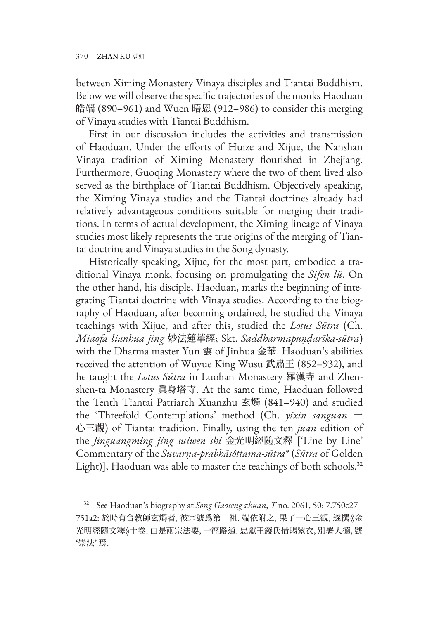between Ximing Monastery Vinaya disciples and Tiantai Buddhism. Below we will observe the specific trajectories of the monks Haoduan 皓端 (890–961) and Wuen 晤恩 (912–986) to consider this merging of Vinaya studies with Tiantai Buddhism.

First in our discussion includes the activities and transmission of Haoduan. Under the efforts of Huize and Xijue, the Nanshan Vinaya tradition of Ximing Monastery flourished in Zhejiang. Furthermore, Guoqing Monastery where the two of them lived also served as the birthplace of Tiantai Buddhism. Objectively speaking, the Ximing Vinaya studies and the Tiantai doctrines already had relatively advantageous conditions suitable for merging their traditions. In terms of actual development, the Ximing lineage of Vinaya studies most likely represents the true origins of the merging of Tiantai doctrine and Vinaya studies in the Song dynasty.

Historically speaking, Xijue, for the most part, embodied a traditional Vinaya monk, focusing on promulgating the *Sifen lü*. On the other hand, his disciple, Haoduan, marks the beginning of integrating Tiantai doctrine with Vinaya studies. According to the biography of Haoduan, after becoming ordained, he studied the Vinaya teachings with Xijue, and after this, studied the *Lotus Sūtra* (Ch. *Miaofa lianhua jing* 妙法蓮華經; Skt. *Saddharmapuṇḍarīka-sūtra*) with the Dharma master Yun 雲 of Jinhua 金華. Haoduan's abilities received the attention of Wuyue King Wusu 武肅王 (852–932), and he taught the *Lotus Sūtra* in Luohan Monastery 羅漢寺 and Zhenshen-ta Monastery 眞身塔寺. At the same time, Haoduan followed the Tenth Tiantai Patriarch Xuanzhu 玄燭 (841–940) and studied the 'Threefold Contemplations' method (Ch. *yixin sanguan* 一 心三觀) of Tiantai tradition. Finally, using the ten *juan* edition of the *Jinguangming jing suiwen shi* 金光明經隨文釋 ['Line by Line' Commentary of the *Suvarṇa-prabhāsôttama-sūtra*\* (*Sūtra* of Golden Light)], Haoduan was able to master the teachings of both schools.<sup>32</sup>

<sup>32</sup> See Haoduan's biography at *Song Gaoseng zhuan*, *T* no. 2061, 50: 7.750c27– 751a2: 於時有台教師玄燭者, 彼宗號爲第十祖. 端依附之, 果了一心三觀, 遂撰《金 光明經隨文釋》十卷. 由是兩宗法要, 一徑路通. 忠獻王錢氏借賜紫衣, 別署大德, 號 '崇法' 焉.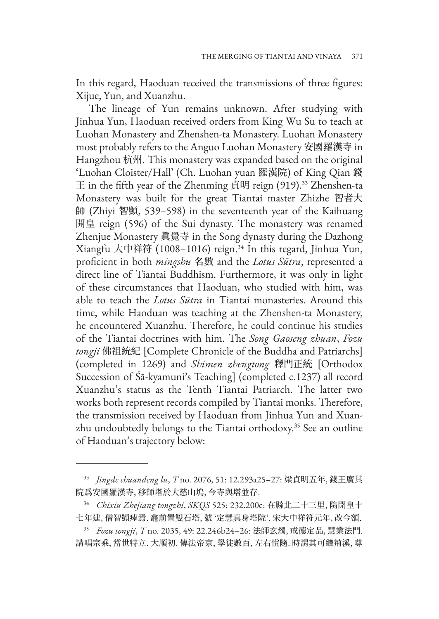In this regard, Haoduan received the transmissions of three figures: Xijue, Yun, and Xuanzhu.

The lineage of Yun remains unknown. After studying with Jinhua Yun, Haoduan received orders from King Wu Su to teach at Luohan Monastery and Zhenshen-ta Monastery. Luohan Monastery most probably refers to the Anguo Luohan Monastery 安國羅漢寺 in Hangzhou 杭州. This monastery was expanded based on the original 'Luohan Cloister/Hall' (Ch. Luohan yuan 羅漢院) of King Qian 錢  $\pm$  in the fifth year of the Zhenming 貞明 reign (919).<sup>33</sup> Zhenshen-ta Monastery was built for the great Tiantai master Zhizhe 智者大 師 (Zhiyi 智顗, 539–598) in the seventeenth year of the Kaihuang 開皇 reign (596) of the Sui dynasty. The monastery was renamed Zhenjue Monastery 眞覺寺 in the Song dynasty during the Dazhong Xiangfu 大中祥符 (1008–1016) reign.34 In this regard, Jinhua Yun, proficient in both *mingshu* 名數 and the *Lotus Sūtra*, represented a direct line of Tiantai Buddhism. Furthermore, it was only in light of these circumstances that Haoduan, who studied with him, was able to teach the *Lotus Sūtra* in Tiantai monasteries. Around this time, while Haoduan was teaching at the Zhenshen-ta Monastery, he encountered Xuanzhu. Therefore, he could continue his studies of the Tiantai doctrines with him. The *Song Gaoseng zhuan*, *Fozu tongji* 佛祖統紀 [Complete Chronicle of the Buddha and Patriarchs] (completed in 1269) and *Shimen zhengtong* 釋門正統 [Orthodox Succession of Śā-kyamuni's Teaching] (completed c.1237) all record Xuanzhu's status as the Tenth Tiantai Patriarch. The latter two works both represent records compiled by Tiantai monks. Therefore, the transmission received by Haoduan from Jinhua Yun and Xuanzhu undoubtedly belongs to the Tiantai orthodoxy.<sup>35</sup> See an outline of Haoduan's trajectory below:

<sup>33</sup> *Jingde chuandeng lu*, *T* no. 2076, 51: 12.293a25–27: 梁貞明五年, 錢王廣其 院爲安國羅漢寺, 移師塔於大慈山塢, 今寺與塔並存.

<sup>34</sup> *Chixiu Zhejiang tongzhi*, *SKQS* 525: 232.200c: 在縣北二十三里, 隋開皇十 七年建, 僧智顗瘞焉. 龕前置雙石塔, 號 '定慧真身塔院'. 宋大中祥符元年, 改今額.

<sup>35</sup> *Fozu tongji*, *T* no. 2035, 49: 22.246b24–26: 法師玄燭, 戒德定品, 慧業法門. 講唱宗乘, 當世特立. 大順初, 傳法帝京, 學徒數百, 左右悅隨. 時謂其可繼荊溪, 尊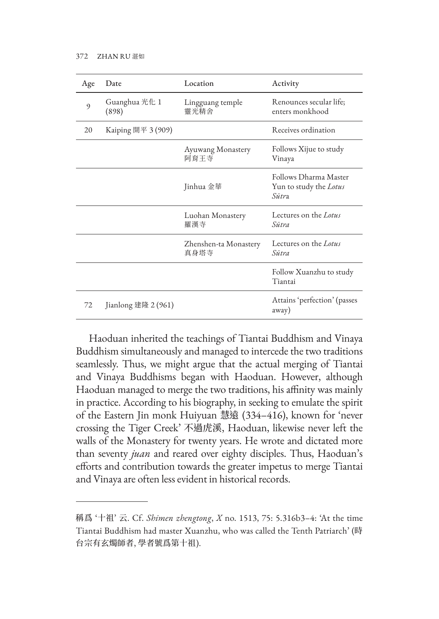| Age | Date                   | Location                      | Activity                                                 |
|-----|------------------------|-------------------------------|----------------------------------------------------------|
| 9   | Guanghua 光化 1<br>(898) | Lingguang temple<br>靈光精舍      | Renounces secular life;<br>enters monkhood               |
| 20  | Kaiping 開平 3 (909)     |                               | Receives ordination                                      |
|     |                        | Ayuwang Monastery<br>阿育王寺     | Follows Xijue to study<br>Vinaya                         |
|     |                        | Jinhua 金華                     | Follows Dharma Master<br>Yun to study the Lotus<br>Sūtra |
|     |                        | Luohan Monastery<br>羅漢寺       | Lectures on the Lotus<br>Sūtra                           |
|     |                        | Zhenshen-ta Monastery<br>真身塔寺 | Lectures on the Lotus<br>Sūtra                           |
|     |                        |                               | Follow Xuanzhu to study<br>Tiantai                       |
| 72  | Jianlong 建隆 2 (961)    |                               | Attains 'perfection' (passes<br>away)                    |

Haoduan inherited the teachings of Tiantai Buddhism and Vinaya Buddhism simultaneously and managed to intercede the two traditions seamlessly. Thus, we might argue that the actual merging of Tiantai and Vinaya Buddhisms began with Haoduan. However, although Haoduan managed to merge the two traditions, his affinity was mainly in practice. According to his biography, in seeking to emulate the spirit of the Eastern Jin monk Huiyuan 慧遠 (334–416), known for 'never crossing the Tiger Creek' 不過虎溪, Haoduan, likewise never left the walls of the Monastery for twenty years. He wrote and dictated more than seventy *juan* and reared over eighty disciples. Thus, Haoduan's efforts and contribution towards the greater impetus to merge Tiantai and Vinaya are often less evident in historical records.

稱爲 '十祖' 云. Cf. *Shimen zhengtong*, *X* no. 1513, 75: 5.316b3–4: 'At the time Tiantai Buddhism had master Xuanzhu, who was called the Tenth Patriarch' (時 台宗有玄燭師者, 學者號爲第十祖).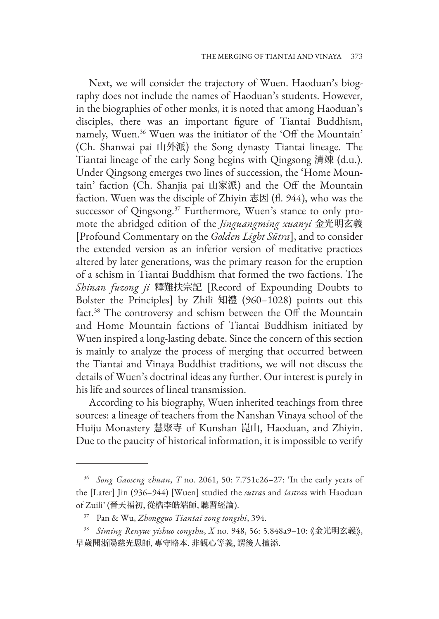Next, we will consider the trajectory of Wuen. Haoduan's biography does not include the names of Haoduan's students. However, in the biographies of other monks, it is noted that among Haoduan's disciples, there was an important figure of Tiantai Buddhism, namely, Wuen.36 Wuen was the initiator of the 'Off the Mountain' (Ch. Shanwai pai 山外派) the Song dynasty Tiantai lineage. The Tiantai lineage of the early Song begins with Qingsong 清竦 (d.u.). Under Qingsong emerges two lines of succession, the 'Home Mountain' faction (Ch. Shanjia pai 山家派) and the Off the Mountain faction. Wuen was the disciple of Zhiyin 志因 (fl. 944), who was the successor of Qingsong.<sup>37</sup> Furthermore, Wuen's stance to only promote the abridged edition of the *Jinguangming xuanyi* 金光明玄義 [Profound Commentary on the *Golden Light Sūtra*], and to consider the extended version as an inferior version of meditative practices altered by later generations, was the primary reason for the eruption of a schism in Tiantai Buddhism that formed the two factions. The *Shinan fuzong ji* 釋難扶宗記 [Record of Expounding Doubts to Bolster the Principles] by Zhili 知禮 (960–1028) points out this fact.38 The controversy and schism between the Off the Mountain and Home Mountain factions of Tiantai Buddhism initiated by Wuen inspired a long-lasting debate. Since the concern of this section is mainly to analyze the process of merging that occurred between the Tiantai and Vinaya Buddhist traditions, we will not discuss the details of Wuen's doctrinal ideas any further. Our interest is purely in his life and sources of lineal transmission.

According to his biography, Wuen inherited teachings from three sources: a lineage of teachers from the Nanshan Vinaya school of the Huiju Monastery 慧聚寺 of Kunshan 崑山, Haoduan, and Zhiyin. Due to the paucity of historical information, it is impossible to verify

<sup>36</sup> *Song Gaoseng zhuan*, *T* no. 2061, 50: 7.751c26–27: 'In the early years of the [Later] Jin (936–944) [Wuen] studied the *sūtra*s and *śāstra*s with Haoduan of Zuili' (晉天福初, 從檇李皓端師, 聽習經論).

<sup>37</sup> Pan & Wu, *Zhongguo Tiantai zong tongshi*, 394.

<sup>38</sup> *Siming Renyue yishuo congshu*, *X* no. 948, 56: 5.848a9–10: 《金光明玄義》, 早歲聞浙陽慈光恩師, 專守略本. 非觀心等義, 謂後人擅添.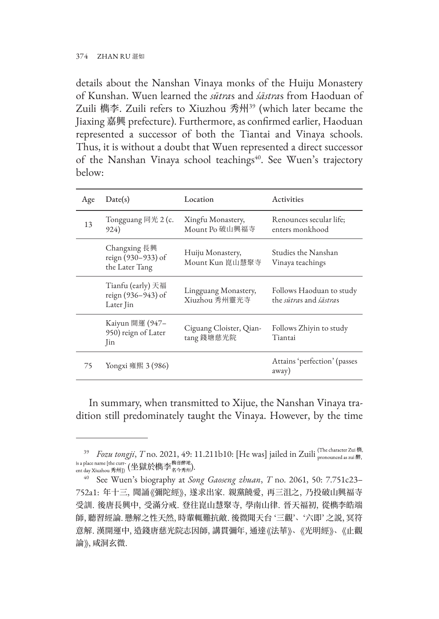details about the Nanshan Vinaya monks of the Huiju Monastery of Kunshan. Wuen learned the *sūtra*s and *śāstra*s from Haoduan of Zuili 檇李. Zuili refers to Xiuzhou 秀州39 (which later became the Jiaxing 嘉興 prefecture). Furthermore, as confirmed earlier, Haoduan represented a successor of both the Tiantai and Vinaya schools. Thus, it is without a doubt that Wuen represented a direct successor of the Nanshan Vinaya school teachings<sup>40</sup>. See Wuen's trajectory below:

| Age | Date(s)                                              | Location                              | Activities                                                       |
|-----|------------------------------------------------------|---------------------------------------|------------------------------------------------------------------|
| 13  | Tongguang 同光 $2$ (c.<br>924)                         | Xingfu Monastery,<br>Mount Po 破山興福寺   | Renounces secular life;<br>enters monkhood                       |
|     | Changxing 長興<br>reign (930-933) of<br>the Later Tang | Huiju Monastery,<br>Mount Kun 崑山慧聚寺   | Studies the Nanshan<br>Vinaya teachings                          |
|     | Tianfu (early) 天福<br>reign (936-943) of<br>Later Jin | Lingguang Monastery,<br>Xiuzhou 秀州靈光寺 | Follows Haoduan to study<br>the <i>sūtras</i> and <i>śāstras</i> |
|     | Kaiyun 開運 (947–<br>950) reign of Later<br>Jin        | Ciguang Cloister, Qian-<br>tang 錢塘慈光院 | Follows Zhiyin to study<br>Tiantai                               |
| 75  | Yongxi 雍熙 3 (986)                                    |                                       | Attains 'perfection' (passes<br>away)                            |

In summary, when transmitted to Xijue, the Nanshan Vinaya tradition still predominately taught the Vinaya. However, by the time

<sup>&</sup>lt;sup>39</sup> *Fozu tongji*, *T* no. 2021, 49: 11.211b10: [He was] jailed in Zuili (The character Zui 檇, is a place name [the curr-<br>ent day Xiuzhou 秀州]) (坐獄於檇李  $_{4\text{A-}}$ 秀州).

<sup>40</sup> See Wuen's biography at *Song Gaoseng zhuan*, *T* no. 2061, 50: 7.751c23– 752a1: 年十三, 聞誦《彌陀經》, 遂求出家. 親黨饒愛, 再三沮之, 乃投破山興福寺 受訓. 後唐長興中, 受滿分戒. 登往崑山慧聚寺, 學南山律. 晉天福初, 從檇李皓端 師, 聽習經論. 懸解之性天然, 時輩輒難抗敵. 後微聞天台 '三觀'、'六即' 之説, 冥符 意解. 漢開運中, 造錢唐慈光院志因師, 講貫彌年, 通達《法華》、《光明經》、《止觀 論》, 咸洞玄微.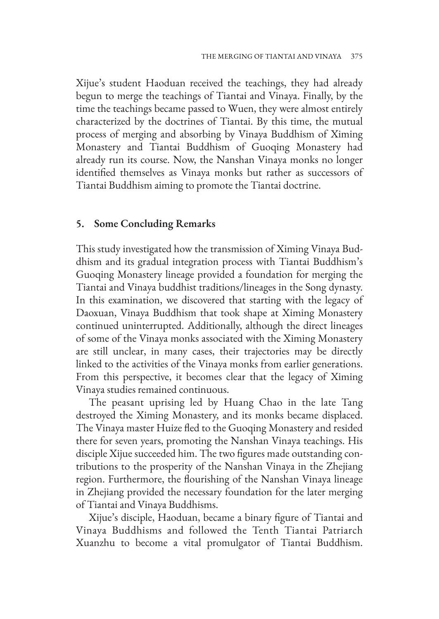Xijue's student Haoduan received the teachings, they had already begun to merge the teachings of Tiantai and Vinaya. Finally, by the time the teachings became passed to Wuen, they were almost entirely characterized by the doctrines of Tiantai. By this time, the mutual process of merging and absorbing by Vinaya Buddhism of Ximing Monastery and Tiantai Buddhism of Guoqing Monastery had already run its course. Now, the Nanshan Vinaya monks no longer identified themselves as Vinaya monks but rather as successors of Tiantai Buddhism aiming to promote the Tiantai doctrine.

#### **5. Some Concluding Remarks**

This study investigated how the transmission of Ximing Vinaya Buddhism and its gradual integration process with Tiantai Buddhism's Guoqing Monastery lineage provided a foundation for merging the Tiantai and Vinaya buddhist traditions/lineages in the Song dynasty. In this examination, we discovered that starting with the legacy of Daoxuan, Vinaya Buddhism that took shape at Ximing Monastery continued uninterrupted. Additionally, although the direct lineages of some of the Vinaya monks associated with the Ximing Monastery are still unclear, in many cases, their trajectories may be directly linked to the activities of the Vinaya monks from earlier generations. From this perspective, it becomes clear that the legacy of Ximing Vinaya studies remained continuous.

The peasant uprising led by Huang Chao in the late Tang destroyed the Ximing Monastery, and its monks became displaced. The Vinaya master Huize fled to the Guoqing Monastery and resided there for seven years, promoting the Nanshan Vinaya teachings. His disciple Xijue succeeded him. The two figures made outstanding contributions to the prosperity of the Nanshan Vinaya in the Zhejiang region. Furthermore, the flourishing of the Nanshan Vinaya lineage in Zhejiang provided the necessary foundation for the later merging of Tiantai and Vinaya Buddhisms.

Xijue's disciple, Haoduan, became a binary figure of Tiantai and Vinaya Buddhisms and followed the Tenth Tiantai Patriarch Xuanzhu to become a vital promulgator of Tiantai Buddhism.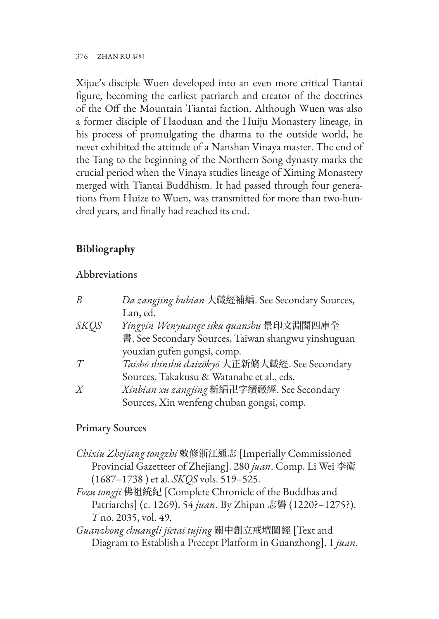376 ZHAN RU 湛如

Xijue's disciple Wuen developed into an even more critical Tiantai figure, becoming the earliest patriarch and creator of the doctrines of the Off the Mountain Tiantai faction. Although Wuen was also a former disciple of Haoduan and the Huiju Monastery lineage, in his process of promulgating the dharma to the outside world, he never exhibited the attitude of a Nanshan Vinaya master. The end of the Tang to the beginning of the Northern Song dynasty marks the crucial period when the Vinaya studies lineage of Ximing Monastery merged with Tiantai Buddhism. It had passed through four generations from Huize to Wuen, was transmitted for more than two-hundred years, and finally had reached its end.

# **Bibliography**

## Abbreviations

| Da zangjing bubian 大藏經補編. See Secondary Sources,    |
|-----------------------------------------------------|
| Lan, ed.                                            |
| Yingyin Wenyuange siku quanshu 景印文淵閣四庫全             |
| 書. See Secondary Sources, Taiwan shangwu yinshuguan |
| youxian gufen gongsi, comp.                         |
| Taishō shinshū daizōkyō 大正新脩大藏經. See Secondary      |
| Sources, Takakusu & Watanabe et al., eds.           |
| Xinbian xu zangjing 新編卍字續藏經. See Secondary          |
| Sources, Xin wenfeng chuban gongsi, comp.           |
|                                                     |

## Primary Sources

*Chixiu Zhejiang tongzhi* 敕修浙江通志 [Imperially Commissioned Provincial Gazetteer of Zhejiang]. 280 *juan*. Comp. Li Wei 李衛 (1687–1738 ) et al. *SKQS* vols. 519–525.

*Fozu tongji* 佛祖統紀 [Complete Chronicle of the Buddhas and Patriarchs] (c. 1269). 54 *juan*. By Zhipan 志磐 (1220?–1275?). *T* no. 2035, vol. 49.

*Guanzhong chuangli jietai tujing* 關中創立戒壇圖經 [Text and Diagram to Establish a Precept Platform in Guanzhong]. 1 *juan*.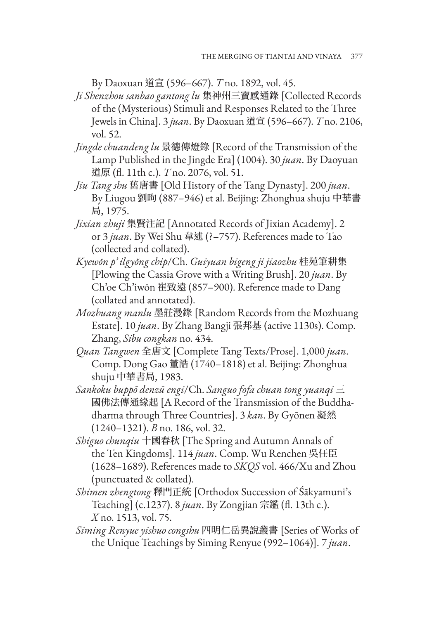By Daoxuan 道宣 (596–667). *T* no. 1892, vol. 45.

- *Ji Shenzhou sanbao gantong lu* 集神州三寶感通錄 [Collected Records of the (Mysterious) Stimuli and Responses Related to the Three Jewels in China]. 3 *juan*. By Daoxuan 道宣 (596–667). *T* no. 2106, vol. 52.
- *Jingde chuandeng lu* 景德傳燈錄 [Record of the Transmission of the Lamp Published in the Jingde Era] (1004). 30 *juan*. By Daoyuan 道原 (fl. 11th c.). *T* no. 2076, vol. 51.
- *Jiu Tang shu* 舊唐書 [Old History of the Tang Dynasty]. 200 *juan*. By Liugou 劉昫 (887–946) et al. Beijing: Zhonghua shuju 中華書 局, 1975.
- *Jixian zhuji* 集賢注記 [Annotated Records of Jixian Academy]. 2 or 3 *juan*. By Wei Shu 韋述 (?–757). References made to Tao (collected and collated).
- *Kyewŏn p' ilgyŏng chip*/Ch. *Guiyuan bigeng ji jiaozhu* 桂苑筆耕集 [Plowing the Cassia Grove with a Writing Brush]. 20 *juan*. By Ch'oe Ch'iwŏn 崔致遠 (857–900). Reference made to Dang (collated and annotated).
- *Mozhuang manlu* 墨莊漫錄 [Random Records from the Mozhuang Estate]. 10 *juan*. By Zhang Bangji 張邦基 (active 1130s). Comp. Zhang, *Sibu congkan* no. 434.
- *Quan Tangwen* 全唐文 [Complete Tang Texts/Prose]. 1,000 *juan*. Comp. Dong Gao 董誥 (1740–1818) et al. Beijing: Zhonghua shuju 中華書局, 1983.
- *Sankoku buppō denzū engi*/Ch. *Sanguo fofa chuan tong yuanqi* 三 國佛法傳通緣起 [A Record of the Transmission of the Buddhadharma through Three Countries]. 3 *kan*. By Gyōnen 凝然 (1240–1321). *B* no. 186, vol. 32.
- *Shiguo chunqiu* 十國春秋 [The Spring and Autumn Annals of the Ten Kingdoms]. 114 *juan*. Comp. Wu Renchen 吳任臣 (1628–1689). References made to *SKQS* vol. 466/Xu and Zhou (punctuated & collated).
- *Shimen zhengtong* 釋門正統 [Orthodox Succession of Śākyamuni's Teaching] (c.1237). 8 *juan*. By Zongjian 宗鑑 (fl. 13th c.). *X* no. 1513, vol. 75.
- *Siming Renyue yishuo congshu* 四明仁岳異說叢書 [Series of Works of the Unique Teachings by Siming Renyue (992–1064)]. 7 *juan*.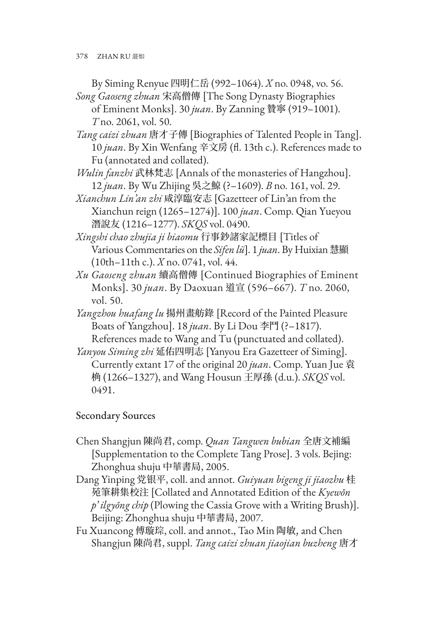By Siming Renyue 四明仁岳 (992–1064). *X* no. 0948, vo. 56. *Song Gaoseng zhuan* 宋高僧傳 [The Song Dynasty Biographies

of Eminent Monks]. 30 *juan*. By Zanning 贊寧 (919–1001). *T* no. 2061, vol. 50.

*Tang caizi zhuan* 唐才子傳 [Biographies of Talented People in Tang]. 10 *juan*. By Xin Wenfang 辛文房 (fl. 13th c.). References made to Fu (annotated and collated).

*Wulin fanzhi* 武林梵志 [Annals of the monasteries of Hangzhou]. 12 *juan*. By Wu Zhijing 吳之鯨 (?–1609). *B* no. 161, vol. 29.

*Xianchun Lin'an zhi* 咸淳臨安志 [Gazetteer of Lin'an from the Xianchun reign (1265–1274)]. 100 *juan*. Comp. Qian Yueyou 潛說友 (1216–1277). *SKQS* vol. 0490.

*Xingshi chao zhujia ji biaomu* 行事鈔諸家記標目 [Titles of Various Commentaries on the *Sifen lü*]. 1 *juan*. By Huixian 慧顯 (10th–11th c.). *X* no. 0741, vol. 44.

*Xu Gaoseng zhuan* 續高僧傳 [Continued Biographies of Eminent Monks]. 30 *juan*. By Daoxuan 道宣 (596–667). *T* no. 2060, vol. 50.

*Yangzhou huafang lu* 揚州畫舫錄 [Record of the Painted Pleasure Boats of Yangzhou]. 18 *juan*. By Li Dou 李鬥 (?–1817). References made to Wang and Tu (punctuated and collated).

*Yanyou Siming zhi* 延佑四明志 [Yanyou Era Gazetteer of Siming]. Currently extant 17 of the original 20 *juan*. Comp. Yuan Jue 袁 桷 (1266–1327), and Wang Housun 王厚孫 (d.u.). *SKQS* vol. 0491.

## Secondary Sources

- Chen Shangjun 陳尚君, comp. *Quan Tangwen bubian* 全唐文補編 [Supplementation to the Complete Tang Prose]. 3 vols. Bejing: Zhonghua shuju 中華書局, 2005.
- Dang Yinping 党银平, coll. and annot. *Guiyuan bigeng ji jiaozhu* 桂 苑筆耕集校注 [Collated and Annotated Edition of the *Kyewŏn p' ilgyŏng chip* (Plowing the Cassia Grove with a Writing Brush)]. Beijing: Zhonghua shuju 中華書局, 2007.
- Fu Xuancong 傅璇琮, coll. and annot., Tao Min 陶敏, and Chen Shangjun 陳尚君, suppl. *Tang caizi zhuan jiaojian buzheng* 唐才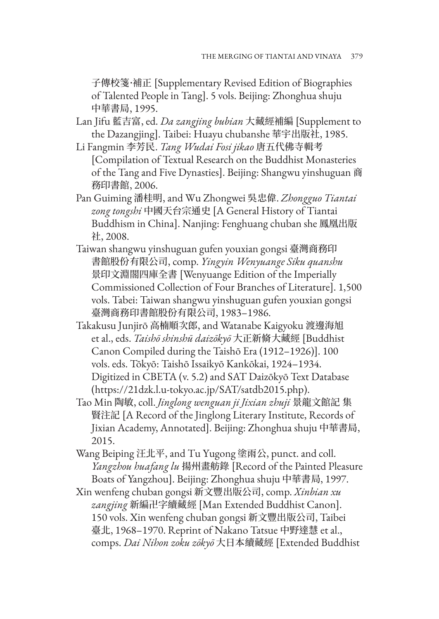子傳校箋·補正 [Supplementary Revised Edition of Biographies of Talented People in Tang]. 5 vols. Beijing: Zhonghua shuju 中華書局, 1995.

- Lan Jifu 藍吉富, ed. *Da zangjing bubian* 大藏經補編 [Supplement to the Dazangjing]. Taibei: Huayu chubanshe 華宇出版社, 1985.
- Li Fangmin 李芳民. *Tang Wudai Fosi jikao* 唐五代佛寺輯考 [Compilation of Textual Research on the Buddhist Monasteries of the Tang and Five Dynasties]. Beijing: Shangwu yinshuguan 商 務印書館, 2006.
- Pan Guiming 潘桂明, and Wu Zhongwei 吳忠偉. *Zhongguo Tiantai zong tongshi* 中國天台宗通史 [A General History of Tiantai Buddhism in China]. Nanjing: Fenghuang chuban she 鳳凰出版 社, 2008.
- Taiwan shangwu yinshuguan gufen youxian gongsi 臺灣商務印 書館股份有限公司, comp. *Yingyin Wenyuange Siku quanshu* 景印文淵閣四庫全書 [Wenyuange Edition of the Imperially Commissioned Collection of Four Branches of Literature]. 1,500 vols. Tabei: Taiwan shangwu yinshuguan gufen youxian gongsi 臺灣商務印書館股份有限公司, 1983–1986.
- Takakusu Junjirō 高楠順次郎, and Watanabe Kaigyoku 渡邊海旭 et al., eds. *Taishō shinshū daizōkyō* 大正新脩大藏經 [Buddhist Canon Compiled during the Taishō Era (1912–1926)]. 100 vols. eds. Tōkyō: Taishō Issaikyō Kankōkai, 1924–1934. Digitized in CBETA (v. 5.2) and SAT Daizōkyō Text Database (https://21dzk.l.u-tokyo.ac.jp/SAT/satdb2015.php).
- Tao Min 陶敏, coll. *Jinglong wenguan ji Jixian zhuji* 景龍文館記 集 賢注記 [A Record of the Jinglong Literary Institute, Records of Jixian Academy, Annotated]. Beijing: Zhonghua shuju 中華書局, 2015.
- Wang Beiping 汪北平, and Tu Yugong 塗雨公, punct. and coll. *Yangzhou huafang lu* 揚州畫舫錄 [Record of the Painted Pleasure Boats of Yangzhou]. Beijing: Zhonghua shuju 中華書局, 1997.
- Xin wenfeng chuban gongsi 新文豐出版公司, comp. *Xinbian xu zangjing* 新編卍字續藏經 [Man Extended Buddhist Canon]. 150 vols. Xin wenfeng chuban gongsi 新文豐出版公司, Taibei 臺北, 1968–1970. Reprint of Nakano Tatsue 中野達慧 et al., comps. *Dai Nihon zoku zōkyō* 大日本續藏經 [Extended Buddhist